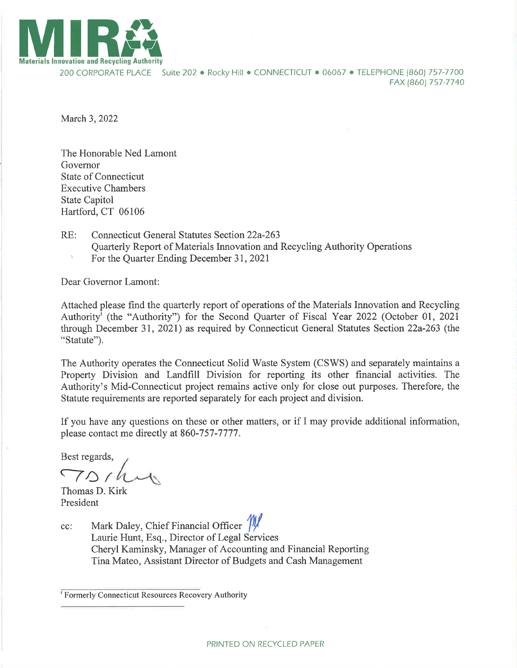

200 CORPORATE PLACE Suite 202 · Rocky Hill · CONNECTICUT · 06067 · TELEPHONE (860) 757-7700 FAX (8ó01 7s7-7740

March 3,2022

The Honorable Ned Lamont Governor State of Connecticut Executive Chambers State Capitol Hartford, CT 06106

- RE: Connecticut General Statutes Section 22a-263 Quarterly Report of Materials Innovation and Recycling Authority Operations
	- <sup>1</sup> For the Quarter Ending December 31, 2021

Dear Governor Lamont:

Attached please find the quarterly report of operations of the Materials Innovation and Recycling Authority<sup>I</sup> (the "Authority") for the Second Quarter of Fiscal Year 2022 (October 01, 2021 through December 31,202I) as required by Connecticut General Statutes Section 22a-263 (fhe "Statute").

The Authority operates the Connecticut Solid Waste System (CSWS) and separately maintains a Property Division and Landfill Division for reporting its other financial activities. The Authority's Mid-Connecticut project remains active only for close out purposes. Therefore, the Statute requirements are reported separately for each project and division.

If you have any questions on these or other matters, or if I may provide additional information, please contact me directly at 860-757-7777.

Best regards,

 $70/h$ 

Thomas D. Kirk President

cc: Mark Daley, Chief Financial Officer  $\frac{m}{k}$ Laurie Hunt, Esq., Director of Legal Services Cheryl Kaminsky, Manager of Accounting and Financial Reporting Tina Mateo, Assistant Director of Budgets and Cash Management

<sup>&#</sup>x27; Formerly Connecticut Resources Recovery Authority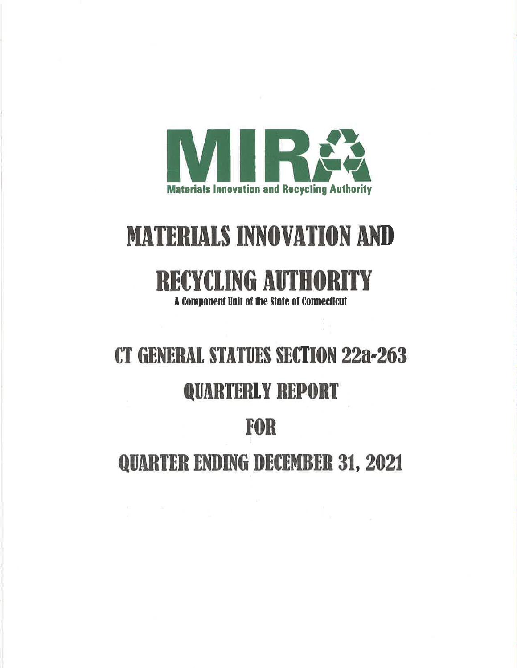

# **MATERIALS INNOVATION AND**

# **RECYCLING AUTHORITY**

A Component Unit of the State of Connecticut

# **CT GENERAL STATUES SECTION 22a-263**

## **QUARTERLY REPORT**

## **FOR**

## **QUARTER ENDING DECEMBER 31, 2021**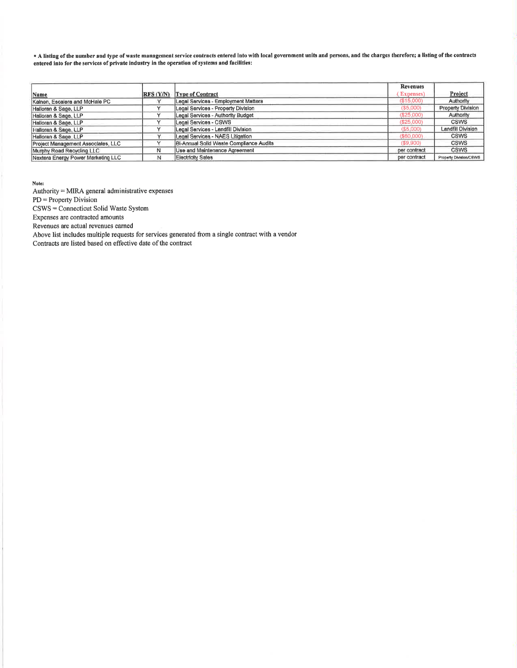" A listing of the number and type of waste management service contracts entered Into with local government units and persons, and the charges therefore; a listing of the contracts entered into for the services of private industry in the operation of systems and facilities:

|                                    |                  |                                         | <b>Revenues</b> |                               |
|------------------------------------|------------------|-----------------------------------------|-----------------|-------------------------------|
| Name                               | <b>RFS (Y/N)</b> | <b>Type of Contract</b>                 | Expenses)       | Project                       |
| Kalnen, Escalera and McHale PC     |                  | Legal Services - Employment Matters     | (\$15,000)      | Authority                     |
| Halloran & Sage, LLP               |                  | Legal Services - Property Division      | ( \$5,000)      | Property Division             |
| Halloran & Sage, LLP               |                  | Legal Services - Authority Budget       | (\$25,000)      | Authority                     |
| Halloran & Sage, LLP               |                  | Legal Services - CSWS                   | (S25,000)       | <b>CSWS</b>                   |
| Halloran & Sage, LLP               |                  | Legal Services - Landfill Division      | $($ \$5,000)    | Landfill Division             |
| Halloran & Sage, LLP               |                  | Legal Services - NAES Litigation        | ( \$60,000)     | <b>CSWS</b>                   |
| Project Management Associates, LLC |                  | Bi-Annual Solld Waste Compliance Audits | ( \$9,900)      | <b>CSWS</b>                   |
| Murphy Road Recycling LLC          | Ν                | Use and Maintenance Agreement           | per contract    | <b>CSWS</b>                   |
| Nextera Energy Power Marketing LLC |                  | Electricity Sales                       | per contract    | <b>Property Division/C6WS</b> |

Note:

Authority = MIRA general administrative expenses PD = Property Division

CSWS = Connecticut Solid Waste System

Expenses are contracted amounts

Revenues are actual revenues earned

Above list includes multiple requests for services generated from a single contract with a vendor

Contracts are listed based on effective date of the contract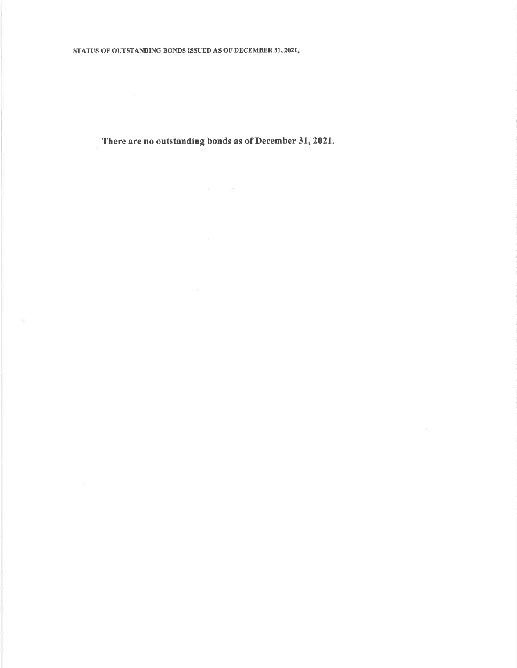There are no outstanding bonds as of December 31, 2021.

 $\sigma_{\rm c}$  and  $\sigma_{\rm c}$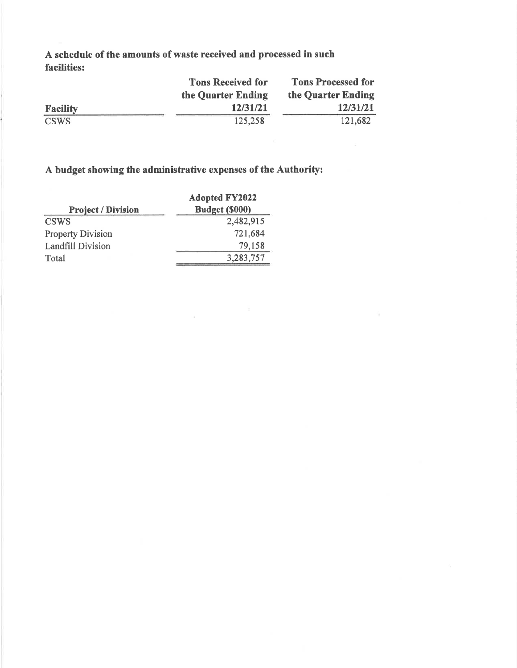A schedule of the amounts of waste received and processed in such facilities:

|                 | <b>Tons Received for</b> | <b>Tons Processed for</b> |  |  |
|-----------------|--------------------------|---------------------------|--|--|
|                 | the Quarter Ending       | the Quarter Ending        |  |  |
| <b>Facility</b> | 12/31/21                 | 12/31/21                  |  |  |
| <b>CSWS</b>     | 125,258                  | 121,682                   |  |  |

## A budget showing the administrative expenses of the Authority:

|                           | <b>Adopted FY2022</b> |
|---------------------------|-----------------------|
| <b>Project / Division</b> | Budget (\$000)        |
| <b>CSWS</b>               | 2,482,915             |
| <b>Property Division</b>  | 721,684               |
| <b>Landfill Division</b>  | 79,158                |
| Total                     | 3,283,757             |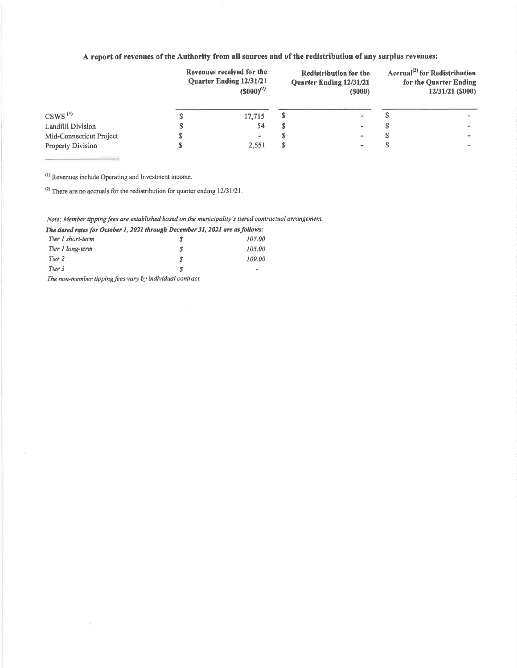## A report of revenues of the Authority from all sources and of the redistribution of any surplus revenues:

|                          | Revenues received for the<br><b>Quarter Ending 12/31/21</b><br>$(5000)^{(1)}$ | <b>Redistribution for the</b><br><b>Ouarter Ending 12/31/21</b><br>(S000) |   | Accrual <sup>(2)</sup> for Redistribution<br>for the Quarter Ending<br>12/31/21 (\$000) |  |
|--------------------------|-------------------------------------------------------------------------------|---------------------------------------------------------------------------|---|-----------------------------------------------------------------------------------------|--|
| $CSWS^{(3)}$             | 17,715                                                                        |                                                                           |   |                                                                                         |  |
| Landfill Division        | 54                                                                            |                                                                           | × |                                                                                         |  |
| Mid-Connecticut Project  | $\bullet$                                                                     |                                                                           | × |                                                                                         |  |
| <b>Property Division</b> | 2.551                                                                         |                                                                           | ٠ |                                                                                         |  |

<sup>(1)</sup> Revenues include Operating and Investment income.

(2) There are no accruals for the redistribution for quarter ending  $12/31/21$ .

### Note; Member tipping fees are established based on the municipality's tiered contractual arrangement.

The tiered rates for October 1, 2021 through December 31, 2021 are as follows:

| Tier 1 short-term                                              | S | 107.00 |
|----------------------------------------------------------------|---|--------|
| Tier I long-term                                               | S | 105.00 |
| Tier 2                                                         | S | 109.00 |
| Tier 3                                                         | Я | ۰      |
| - 1990年 - アンディー・ディー・ディー・エー・エー・エー・エー・エー・エー・エー エー・エー・エー・エー・エー・エー |   |        |

The non-member tipping fees vary by individual contract.

o.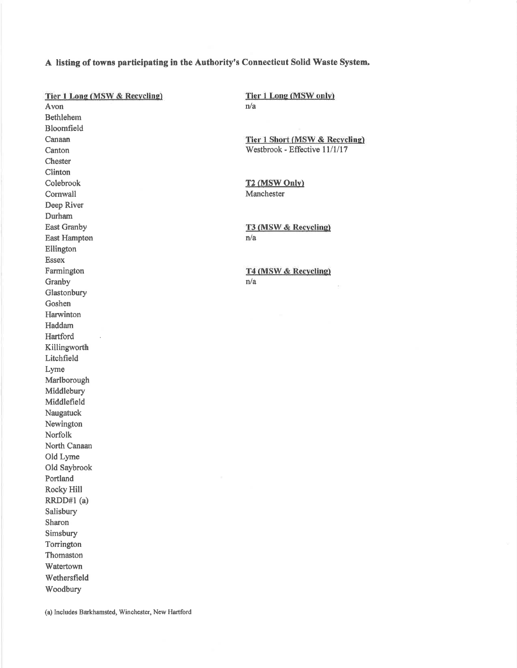### A listing of towns participating in the Authority's Connecticut Solid Waste System.

Tier 1 Long (MSW & Recycling) Avon **Bethlehem** Bloomfield Canaan Canton Chester Clinton Colebrook Cornwall Deep River Durham **East Granby East Hampton** Ellington Essex Farmington Granby Glastonbury Goshen Harwinton Haddam Hartford Killingworth Litchfield Lyme Marlborough Middlebury Middlefield Naugatuck Newington Norfolk North Canaan Old Lyme Old Saybrook Portland Rocky Hill RRDD#1 (a) Salisbury Sharon Simsbury Torrington Thomaston Watertown Wethersfield Woodbury

Tier 1 Long (MSW only)  $n/a$ 

Tier 1 Short (MSW & Recycling) Westbrook - Effective 11/1/17

**T2 (MSW Only)** Manchester

T3 (MSW & Recycling)  $n/a$ 

T4 (MSW & Recycling)  $n/a$